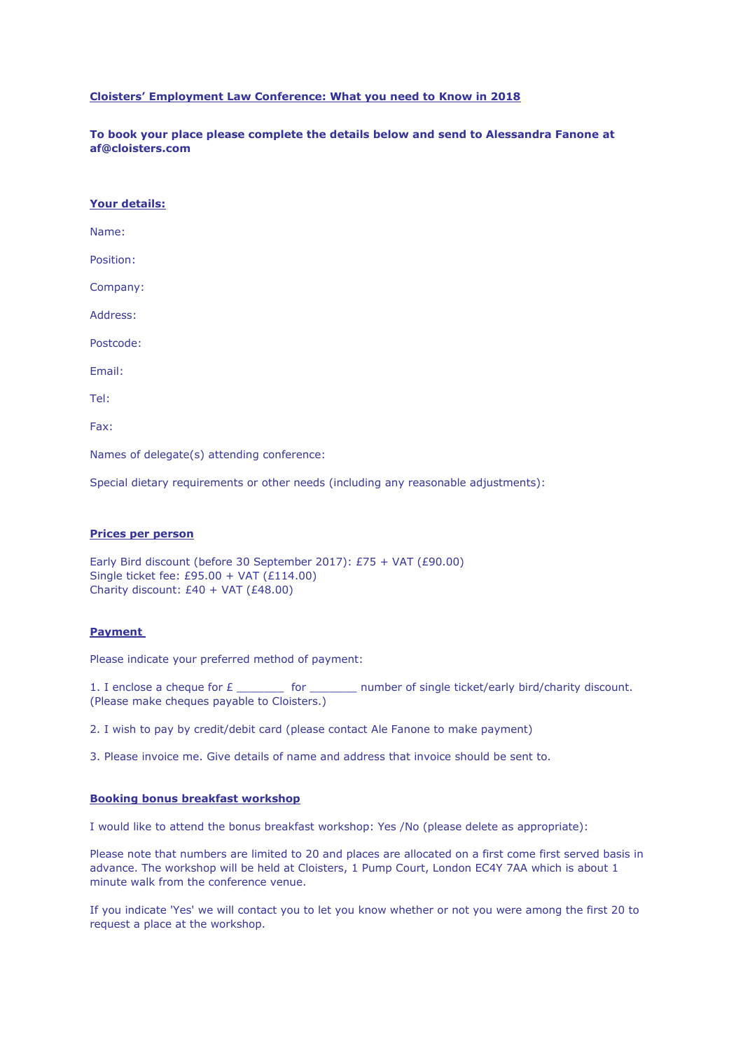### **Cloisters' Employment Law Conference: What you need to Know in 2018**

**To book your place please complete the details below and send to Alessandra Fanone at af@cloisters.com**

Name:

Position:

Company:

Address:

Postcode:

Email:

Tel:

Fax:

Names of delegate(s) attending conference:

Special dietary requirements or other needs (including any reasonable adjustments):

#### **Prices per person**

```
Early Bird discount (before 30 September 2017): £75 + VAT (£90.00)
Single ticket fee: £95.00 + VAT (£114.00)
Charity discount: £40 + VAT (£48.00)
```
#### **Payment**

Please indicate your preferred method of payment:

1. I enclose a cheque for  $E$  \_\_\_\_\_\_\_\_\_ for \_\_\_\_\_\_\_\_ number of single ticket/early bird/charity discount. (Please make cheques payable to Cloisters.)

2. I wish to pay by credit/debit card (please contact Ale Fanone to make payment)

3. Please invoice me. Give details of name and address that invoice should be sent to.

## **Booking bonus breakfast workshop**

I would like to attend the bonus breakfast workshop: Yes /No (please delete as appropriate):

Please note that numbers are limited to 20 and places are allocated on a first come first served basis in advance. The workshop will be held at Cloisters, 1 Pump Court, London EC4Y 7AA which is about 1 minute walk from the conference venue.

If you indicate 'Yes' we will contact you to let you know whether or not you were among the first 20 to request a place at the workshop.